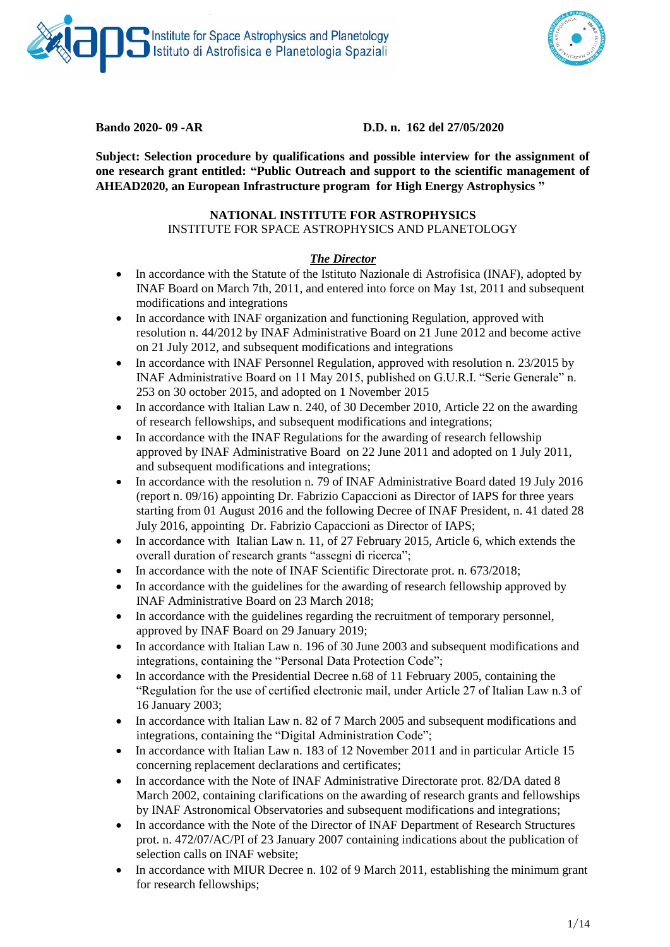



## **Bando 2020- 09 -AR D.D. n. 162 del 27/05/2020**

**Subject: Selection procedure by qualifications and possible interview for the assignment of one research grant entitled: "Public Outreach and support to the scientific management of AHEAD2020, an European Infrastructure program for High Energy Astrophysics "** 

### **NATIONAL INSTITUTE FOR ASTROPHYSICS**

INSTITUTE FOR SPACE ASTROPHYSICS AND PLANETOLOGY

### *The Director*

- In accordance with the Statute of the Istituto Nazionale di Astrofisica (INAF), adopted by INAF Board on March 7th, 2011, and entered into force on May 1st, 2011 and subsequent modifications and integrations
- In accordance with INAF organization and functioning Regulation, approved with resolution n. 44/2012 by INAF Administrative Board on 21 June 2012 and become active on 21 July 2012, and subsequent modifications and integrations
- In accordance with INAF Personnel Regulation, approved with resolution n. 23/2015 by INAF Administrative Board on 11 May 2015, published on G.U.R.I. "Serie Generale" n. 253 on 30 october 2015, and adopted on 1 November 2015
- In accordance with Italian Law n. 240, of 30 December 2010, Article 22 on the awarding of research fellowships, and subsequent modifications and integrations;
- In accordance with the INAF Regulations for the awarding of research fellowship approved by INAF Administrative Board on 22 June 2011 and adopted on 1 July 2011, and subsequent modifications and integrations;
- In accordance with the resolution n. 79 of INAF Administrative Board dated 19 July 2016 (report n. 09/16) appointing Dr. Fabrizio Capaccioni as Director of IAPS for three years starting from 01 August 2016 and the following Decree of INAF President, n. 41 dated 28 July 2016, appointing Dr. Fabrizio Capaccioni as Director of IAPS;
- In accordance with Italian Law n. 11, of 27 February 2015, Article 6, which extends the overall duration of research grants "assegni di ricerca";
- In accordance with the note of INAF Scientific Directorate prot. n. 673/2018;
- In accordance with the guidelines for the awarding of research fellowship approved by INAF Administrative Board on 23 March 2018;
- In accordance with the guidelines regarding the recruitment of temporary personnel, approved by INAF Board on 29 January 2019;
- In accordance with Italian Law n. 196 of 30 June 2003 and subsequent modifications and integrations, containing the "Personal Data Protection Code";
- In accordance with the Presidential Decree n.68 of 11 February 2005, containing the "Regulation for the use of certified electronic mail, under Article 27 of Italian Law n.3 of 16 January 2003;
- In accordance with Italian Law n. 82 of 7 March 2005 and subsequent modifications and integrations, containing the "Digital Administration Code";
- In accordance with Italian Law n. 183 of 12 November 2011 and in particular Article 15 concerning replacement declarations and certificates;
- In accordance with the Note of INAF Administrative Directorate prot. 82/DA dated 8 March 2002, containing clarifications on the awarding of research grants and fellowships by INAF Astronomical Observatories and subsequent modifications and integrations;
- In accordance with the Note of the Director of INAF Department of Research Structures prot. n. 472/07/AC/PI of 23 January 2007 containing indications about the publication of selection calls on INAF website;
- In accordance with MIUR Decree n. 102 of 9 March 2011, establishing the minimum grant for research fellowships;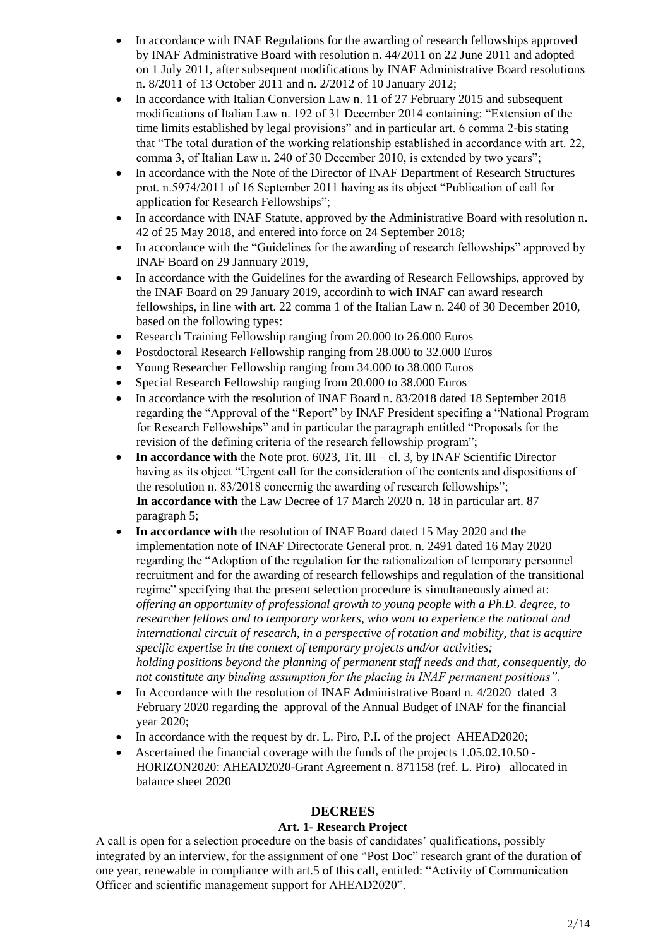- In accordance with INAF Regulations for the awarding of research fellowships approved by INAF Administrative Board with resolution n. 44/2011 on 22 June 2011 and adopted on 1 July 2011, after subsequent modifications by INAF Administrative Board resolutions n. 8/2011 of 13 October 2011 and n. 2/2012 of 10 January 2012;
- In accordance with Italian Conversion Law n. 11 of 27 February 2015 and subsequent modifications of Italian Law n. 192 of 31 December 2014 containing: "Extension of the time limits established by legal provisions" and in particular art. 6 comma 2-bis stating that "The total duration of the working relationship established in accordance with art. 22, comma 3, of Italian Law n. 240 of 30 December 2010, is extended by two years";
- In accordance with the Note of the Director of INAF Department of Research Structures prot. n.5974/2011 of 16 September 2011 having as its object "Publication of call for application for Research Fellowships";
- In accordance with INAF Statute, approved by the Administrative Board with resolution n. 42 of 25 May 2018, and entered into force on 24 September 2018;
- In accordance with the "Guidelines for the awarding of research fellowships" approved by INAF Board on 29 Jannuary 2019,
- In accordance with the Guidelines for the awarding of Research Fellowships, approved by the INAF Board on 29 January 2019, accordinh to wich INAF can award research fellowships, in line with art. 22 comma 1 of the Italian Law n. 240 of 30 December 2010, based on the following types:
- Research Training Fellowship ranging from 20.000 to 26.000 Euros
- Postdoctoral Research Fellowship ranging from 28,000 to 32,000 Euros
- Young Researcher Fellowship ranging from 34.000 to 38.000 Euros
- Special Research Fellowship ranging from 20.000 to 38.000 Euros
- In accordance with the resolution of INAF Board n. 83/2018 dated 18 September 2018 regarding the "Approval of the "Report" by INAF President specifing a "National Program for Research Fellowships" and in particular the paragraph entitled "Proposals for the revision of the defining criteria of the research fellowship program";
- **In accordance with** the Note prot. 6023, Tit. III cl. 3, by INAF Scientific Director having as its object "Urgent call for the consideration of the contents and dispositions of the resolution n. 83/2018 concernig the awarding of research fellowships"; **In accordance with** the Law Decree of 17 March 2020 n. 18 in particular art. 87 paragraph 5;
- **In accordance with** the resolution of INAF Board dated 15 May 2020 and the implementation note of INAF Directorate General prot. n. 2491 dated 16 May 2020 regarding the "Adoption of the regulation for the rationalization of temporary personnel recruitment and for the awarding of research fellowships and regulation of the transitional regime" specifying that the present selection procedure is simultaneously aimed at: *offering an opportunity of professional growth to young people with a Ph.D. degree, to researcher fellows and to temporary workers, who want to experience the national and international circuit of research, in a perspective of rotation and mobility, that is acquire specific expertise in the context of temporary projects and/or activities; holding positions beyond the planning of permanent staff needs and that, consequently, do not constitute any binding assumption for the placing in INAF permanent positions".*
- In Accordance with the resolution of INAF Administrative Board n. 4/2020 dated 3 February 2020 regarding the approval of the Annual Budget of INAF for the financial year 2020;
- In accordance with the request by dr. L. Piro, P.I. of the project AHEAD2020;
- Ascertained the financial coverage with the funds of the projects 1.05.02.10.50 HORIZON2020: AHEAD2020-Grant Agreement n. 871158 (ref. L. Piro) allocated in balance sheet 2020

## **DECREES**

## **Art. 1- Research Project**

A call is open for a selection procedure on the basis of candidates' qualifications, possibly integrated by an interview, for the assignment of one "Post Doc" research grant of the duration of one year, renewable in compliance with art.5 of this call, entitled: "Activity of Communication Officer and scientific management support for AHEAD2020".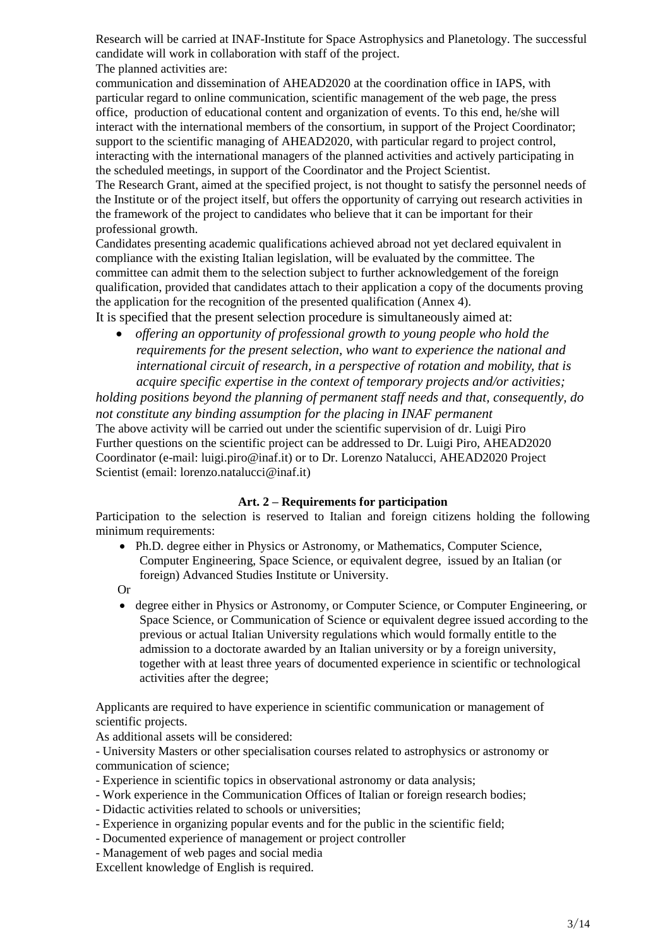Research will be carried at INAF-Institute for Space Astrophysics and Planetology. The successful candidate will work in collaboration with staff of the project. The planned activities are:

communication and dissemination of AHEAD2020 at the coordination office in IAPS, with particular regard to online communication, scientific management of the web page, the press office, production of educational content and organization of events. To this end, he/she will interact with the international members of the consortium, in support of the Project Coordinator; support to the scientific managing of AHEAD2020, with particular regard to project control, interacting with the international managers of the planned activities and actively participating in the scheduled meetings, in support of the Coordinator and the Project Scientist.

The Research Grant, aimed at the specified project, is not thought to satisfy the personnel needs of the Institute or of the project itself, but offers the opportunity of carrying out research activities in the framework of the project to candidates who believe that it can be important for their professional growth.

Candidates presenting academic qualifications achieved abroad not yet declared equivalent in compliance with the existing Italian legislation, will be evaluated by the committee. The committee can admit them to the selection subject to further acknowledgement of the foreign qualification, provided that candidates attach to their application a copy of the documents proving the application for the recognition of the presented qualification (Annex 4).

It is specified that the present selection procedure is simultaneously aimed at:

 *offering an opportunity of professional growth to young people who hold the requirements for the present selection, who want to experience the national and international circuit of research, in a perspective of rotation and mobility, that is acquire specific expertise in the context of temporary projects and/or activities;* 

*holding positions beyond the planning of permanent staff needs and that, consequently, do not constitute any binding assumption for the placing in INAF permanent* The above activity will be carried out under the scientific supervision of dr. Luigi Piro Further questions on the scientific project can be addressed to Dr. Luigi Piro, AHEAD2020 Coordinator (e-mail: luigi.piro@inaf.it) or to Dr. Lorenzo Natalucci, AHEAD2020 Project Scientist (email: lorenzo.natalucci@inaf.it)

## **Art. 2 – Requirements for participation**

Participation to the selection is reserved to Italian and foreign citizens holding the following minimum requirements:

- Ph.D. degree either in Physics or Astronomy, or Mathematics, Computer Science, Computer Engineering, Space Science, or equivalent degree, issued by an Italian (or foreign) Advanced Studies Institute or University.
- Or
- degree either in Physics or Astronomy, or Computer Science, or Computer Engineering, or Space Science, or Communication of Science or equivalent degree issued according to the previous or actual Italian University regulations which would formally entitle to the admission to a doctorate awarded by an Italian university or by a foreign university, together with at least three years of documented experience in scientific or technological activities after the degree;

Applicants are required to have experience in scientific communication or management of scientific projects.

As additional assets will be considered:

- University Masters or other specialisation courses related to astrophysics or astronomy or communication of science;

- Experience in scientific topics in observational astronomy or data analysis;
- Work experience in the Communication Offices of Italian or foreign research bodies;
- Didactic activities related to schools or universities;
- Experience in organizing popular events and for the public in the scientific field;
- Documented experience of management or project controller
- Management of web pages and social media

Excellent knowledge of English is required.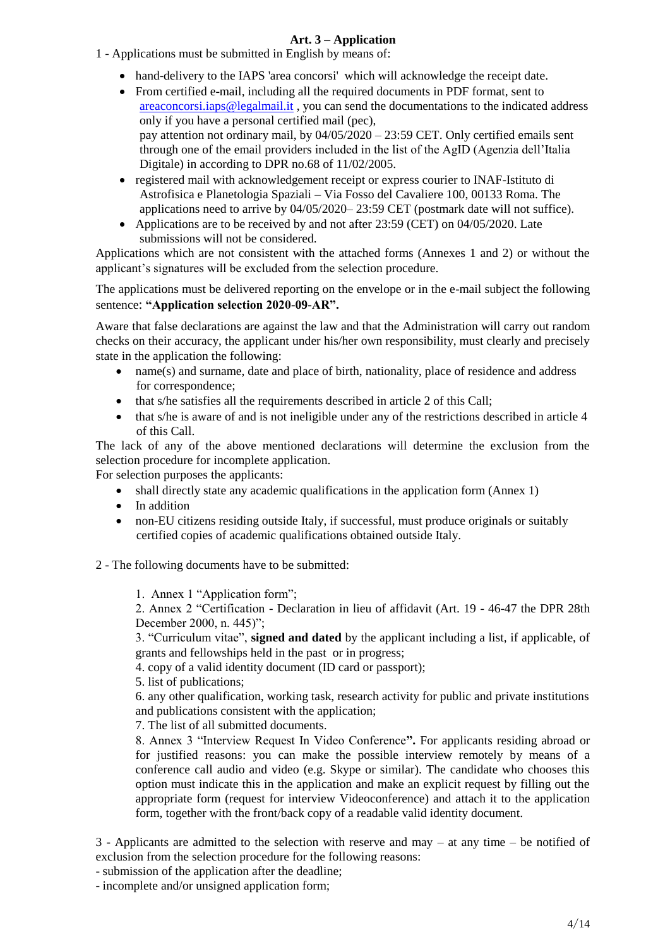## **Art. 3 – Application**

- 1 Applications must be submitted in English by means of:
	- hand-delivery to the IAPS 'area concorsi' which will acknowledge the receipt date.
	- From certified e-mail, including all the required documents in PDF format, sent to [areaconcorsi.iaps@legalmail.it](mailto:areaconcorsi.iaps@legalmail.it) , you can send the documentations to the indicated address only if you have a personal certified mail (pec), pay attention not ordinary mail, by  $04/05/2020 - 23:59$  CET. Only certified emails sent through one of the email providers included in the list of the AgID (Agenzia dell'Italia Digitale) in according to DPR no.68 of 11/02/2005.
	- registered mail with acknowledgement receipt or express courier to INAF-Istituto di Astrofisica e Planetologia Spaziali – Via Fosso del Cavaliere 100, 00133 Roma. The applications need to arrive by 04/05/2020– 23:59 CET (postmark date will not suffice).
	- Applications are to be received by and not after  $23:59$  (CET) on  $04/05/2020$ . Late submissions will not be considered.

Applications which are not consistent with the attached forms (Annexes 1 and 2) or without the applicant's signatures will be excluded from the selection procedure.

The applications must be delivered reporting on the envelope or in the e-mail subject the following sentence: **"Application selection 2020-09-AR".**

Aware that false declarations are against the law and that the Administration will carry out random checks on their accuracy, the applicant under his/her own responsibility, must clearly and precisely state in the application the following:

- name(s) and surname, date and place of birth, nationality, place of residence and address for correspondence;
- that s/he satisfies all the requirements described in article 2 of this Call;
- that s/he is aware of and is not ineligible under any of the restrictions described in article 4 of this Call.

The lack of any of the above mentioned declarations will determine the exclusion from the selection procedure for incomplete application.

For selection purposes the applicants: shall directly state any academic qualifications in the application form (Annex 1)

- In addition
- non-EU citizens residing outside Italy, if successful, must produce originals or suitably certified copies of academic qualifications obtained outside Italy.

2 - The following documents have to be submitted:

1. Annex 1 "Application form";

2. Annex 2 "Certification - Declaration in lieu of affidavit (Art. 19 - 46-47 the DPR 28th December 2000, n. 445)";

3. "Curriculum vitae", **signed and dated** by the applicant including a list, if applicable, of grants and fellowships held in the past or in progress;

4. copy of a valid identity document (ID card or passport);

5. list of publications;

6. any other qualification, working task, research activity for public and private institutions and publications consistent with the application;

7. The list of all submitted documents.

8. Annex 3 "Interview Request In Video Conference**".** For applicants residing abroad or for justified reasons: you can make the possible interview remotely by means of a conference call audio and video (e.g. Skype or similar). The candidate who chooses this option must indicate this in the application and make an explicit request by filling out the appropriate form (request for interview Videoconference) and attach it to the application form, together with the front/back copy of a readable valid identity document.

3 - Applicants are admitted to the selection with reserve and may – at any time – be notified of exclusion from the selection procedure for the following reasons:

- submission of the application after the deadline;

- incomplete and/or unsigned application form;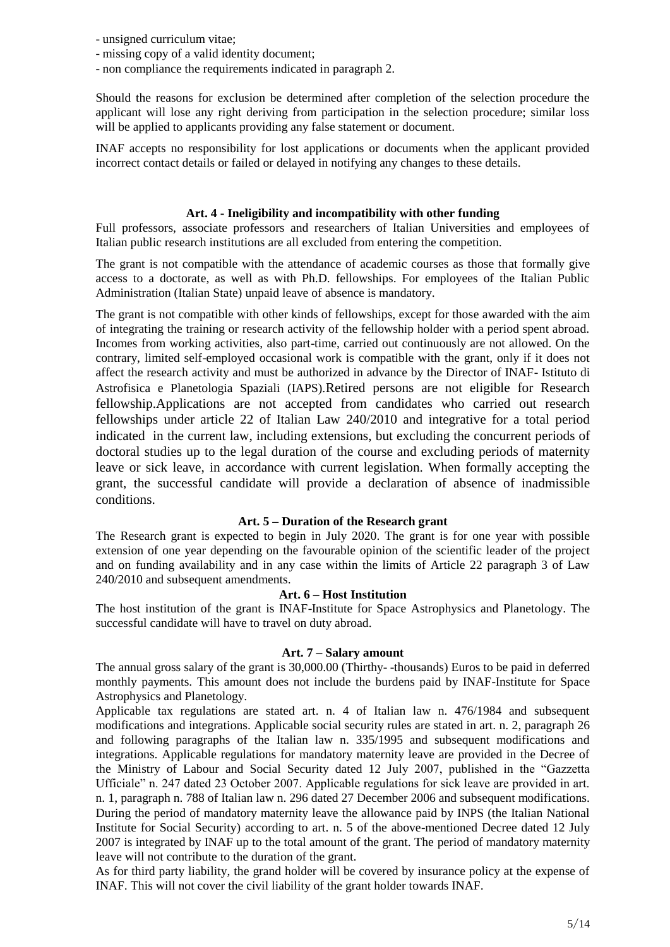- unsigned curriculum vitae;
- missing copy of a valid identity document;
- non compliance the requirements indicated in paragraph 2.

Should the reasons for exclusion be determined after completion of the selection procedure the applicant will lose any right deriving from participation in the selection procedure; similar loss will be applied to applicants providing any false statement or document.

INAF accepts no responsibility for lost applications or documents when the applicant provided incorrect contact details or failed or delayed in notifying any changes to these details.

## **Art. 4 - Ineligibility and incompatibility with other funding**

Full professors, associate professors and researchers of Italian Universities and employees of Italian public research institutions are all excluded from entering the competition.

The grant is not compatible with the attendance of academic courses as those that formally give access to a doctorate, as well as with Ph.D. fellowships. For employees of the Italian Public Administration (Italian State) unpaid leave of absence is mandatory.

The grant is not compatible with other kinds of fellowships, except for those awarded with the aim of integrating the training or research activity of the fellowship holder with a period spent abroad. Incomes from working activities, also part-time, carried out continuously are not allowed. On the contrary, limited self-employed occasional work is compatible with the grant, only if it does not affect the research activity and must be authorized in advance by the Director of INAF- Istituto di Astrofisica e Planetologia Spaziali (IAPS).Retired persons are not eligible for Research fellowship.Applications are not accepted from candidates who carried out research fellowships under article 22 of Italian Law 240/2010 and integrative for a total period indicated in the current law, including extensions, but excluding the concurrent periods of doctoral studies up to the legal duration of the course and excluding periods of maternity leave or sick leave, in accordance with current legislation. When formally accepting the grant, the successful candidate will provide a declaration of absence of inadmissible conditions.

# **Art. 5 – Duration of the Research grant**

The Research grant is expected to begin in July 2020. The grant is for one year with possible extension of one year depending on the favourable opinion of the scientific leader of the project and on funding availability and in any case within the limits of Article 22 paragraph 3 of Law 240/2010 and subsequent amendments.

## **Art. 6 – Host Institution**

The host institution of the grant is INAF-Institute for Space Astrophysics and Planetology. The successful candidate will have to travel on duty abroad.

## **Art. 7 – Salary amount**

The annual gross salary of the grant is 30,000.00 (Thirthy- -thousands) Euros to be paid in deferred monthly payments. This amount does not include the burdens paid by INAF-Institute for Space Astrophysics and Planetology.

Applicable tax regulations are stated art. n. 4 of Italian law n. 476/1984 and subsequent modifications and integrations. Applicable social security rules are stated in art. n. 2, paragraph 26 and following paragraphs of the Italian law n. 335/1995 and subsequent modifications and integrations. Applicable regulations for mandatory maternity leave are provided in the Decree of the Ministry of Labour and Social Security dated 12 July 2007, published in the "Gazzetta Ufficiale" n. 247 dated 23 October 2007. Applicable regulations for sick leave are provided in art. n. 1, paragraph n. 788 of Italian law n. 296 dated 27 December 2006 and subsequent modifications. During the period of mandatory maternity leave the allowance paid by INPS (the Italian National Institute for Social Security) according to art. n. 5 of the above-mentioned Decree dated 12 July 2007 is integrated by INAF up to the total amount of the grant. The period of mandatory maternity leave will not contribute to the duration of the grant.

As for third party liability, the grand holder will be covered by insurance policy at the expense of INAF. This will not cover the civil liability of the grant holder towards INAF.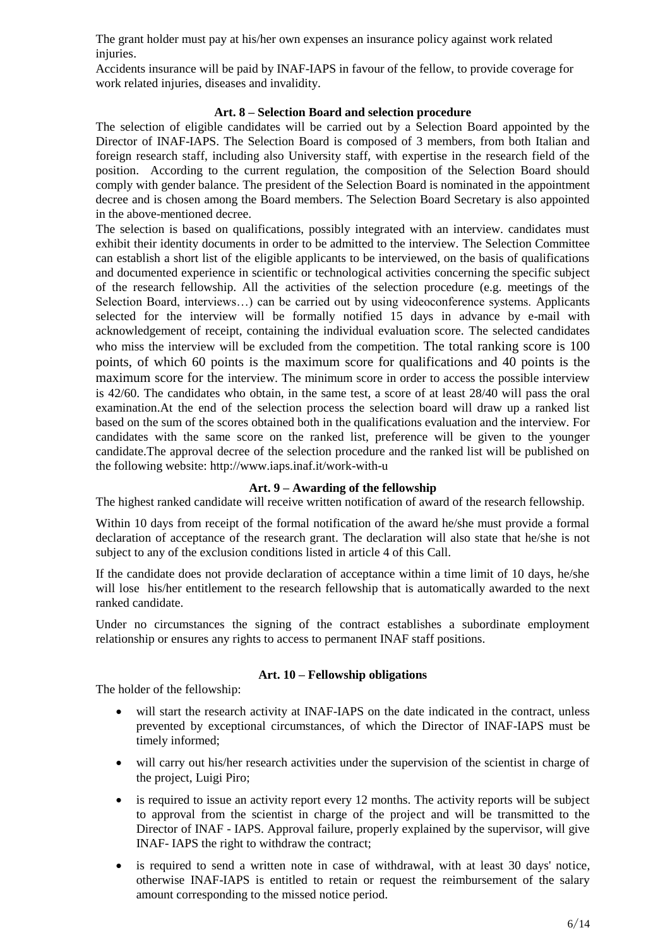The grant holder must pay at his/her own expenses an insurance policy against work related injuries.

Accidents insurance will be paid by INAF-IAPS in favour of the fellow, to provide coverage for work related injuries, diseases and invalidity.

### **Art. 8 – Selection Board and selection procedure**

The selection of eligible candidates will be carried out by a Selection Board appointed by the Director of INAF-IAPS. The Selection Board is composed of 3 members, from both Italian and foreign research staff, including also University staff, with expertise in the research field of the position. According to the current regulation, the composition of the Selection Board should comply with gender balance. The president of the Selection Board is nominated in the appointment decree and is chosen among the Board members. The Selection Board Secretary is also appointed in the above-mentioned decree.

The selection is based on qualifications, possibly integrated with an interview. candidates must exhibit their identity documents in order to be admitted to the interview. The Selection Committee can establish a short list of the eligible applicants to be interviewed, on the basis of qualifications and documented experience in scientific or technological activities concerning the specific subject of the research fellowship. All the activities of the selection procedure (e.g. meetings of the Selection Board, interviews...) can be carried out by using videoconference systems. Applicants selected for the interview will be formally notified 15 days in advance by e-mail with acknowledgement of receipt, containing the individual evaluation score. The selected candidates who miss the interview will be excluded from the competition. The total ranking score is 100 points, of which 60 points is the maximum score for qualifications and 40 points is the maximum score for the interview. The minimum score in order to access the possible interview is 42/60. The candidates who obtain, in the same test, a score of at least 28/40 will pass the oral examination.At the end of the selection process the selection board will draw up a ranked list based on the sum of the scores obtained both in the qualifications evaluation and the interview. For candidates with the same score on the ranked list, preference will be given to the younger candidate.The approval decree of the selection procedure and the ranked list will be published on the following website: http://www.iaps.inaf.it/work-with-u

## **Art. 9 – Awarding of the fellowship**

The highest ranked candidate will receive written notification of award of the research fellowship.

Within 10 days from receipt of the formal notification of the award he/she must provide a formal declaration of acceptance of the research grant. The declaration will also state that he/she is not subject to any of the exclusion conditions listed in article 4 of this Call.

If the candidate does not provide declaration of acceptance within a time limit of 10 days, he/she will lose his/her entitlement to the research fellowship that is automatically awarded to the next ranked candidate.

Under no circumstances the signing of the contract establishes a subordinate employment relationship or ensures any rights to access to permanent INAF staff positions.

## **Art. 10 – Fellowship obligations**

The holder of the fellowship:

 will start the research activity at INAF-IAPS on the date indicated in the contract, unless prevented by exceptional circumstances, of which the Director of INAF-IAPS must be timely informed;

### will carry out his/her research activities under the supervision of the scientist in charge of the project, Luigi Piro;

- is required to issue an activity report every 12 months. The activity reports will be subject to approval from the scientist in charge of the project and will be transmitted to the Director of INAF - IAPS. Approval failure, properly explained by the supervisor, will give INAF- IAPS the right to withdraw the contract;
- is required to send a written note in case of withdrawal, with at least 30 days' notice, otherwise INAF-IAPS is entitled to retain or request the reimbursement of the salary amount corresponding to the missed notice period.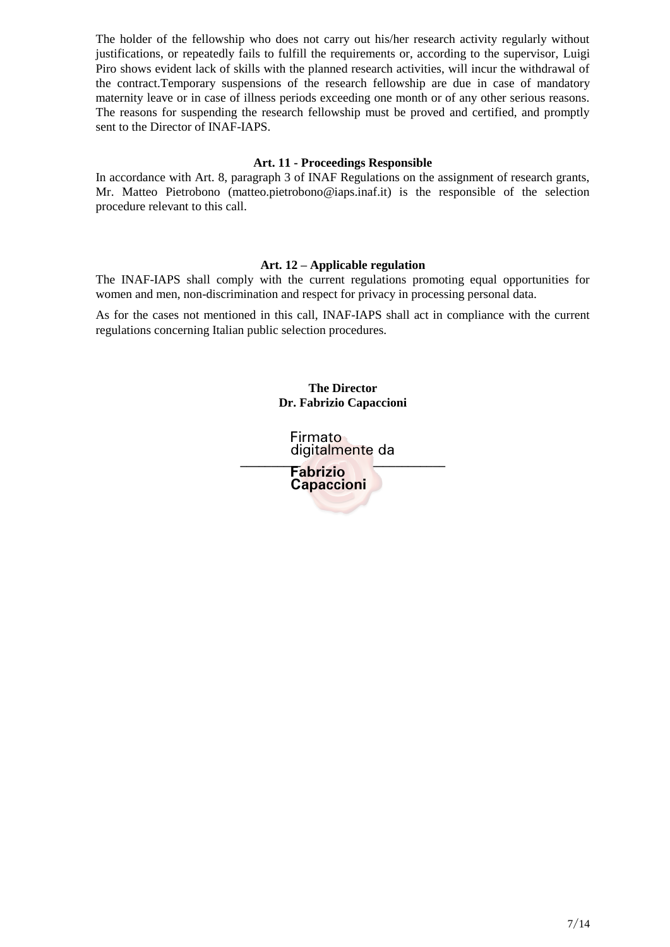The holder of the fellowship who does not carry out his/her research activity regularly without justifications, or repeatedly fails to fulfill the requirements or, according to the supervisor, Luigi Piro shows evident lack of skills with the planned research activities, will incur the withdrawal of the contract.Temporary suspensions of the research fellowship are due in case of mandatory maternity leave or in case of illness periods exceeding one month or of any other serious reasons. The reasons for suspending the research fellowship must be proved and certified, and promptly sent to the Director of INAF-IAPS.

#### **Art. 11 - Proceedings Responsible**

In accordance with Art. 8, paragraph 3 of INAF Regulations on the assignment of research grants, Mr. Matteo Pietrobono (matteo.pietrobono@iaps.inaf.it) is the responsible of the selection procedure relevant to this call.

## **Art. 12 – Applicable regulation**

The INAF-IAPS shall comply with the current regulations promoting equal opportunities for women and men, non-discrimination and respect for privacy in processing personal data.

As for the cases not mentioned in this call, INAF-IAPS shall act in compliance with the current regulations concerning Italian public selection procedures.

> **The Director Dr. Fabrizio Capaccioni**

**\_\_\_\_\_\_\_\_\_\_\_\_\_\_\_\_\_\_\_\_\_\_\_\_\_\_\_\_\_\_\_\_\_** Firmato digitalmente da

**Fabrizio Capaccioni**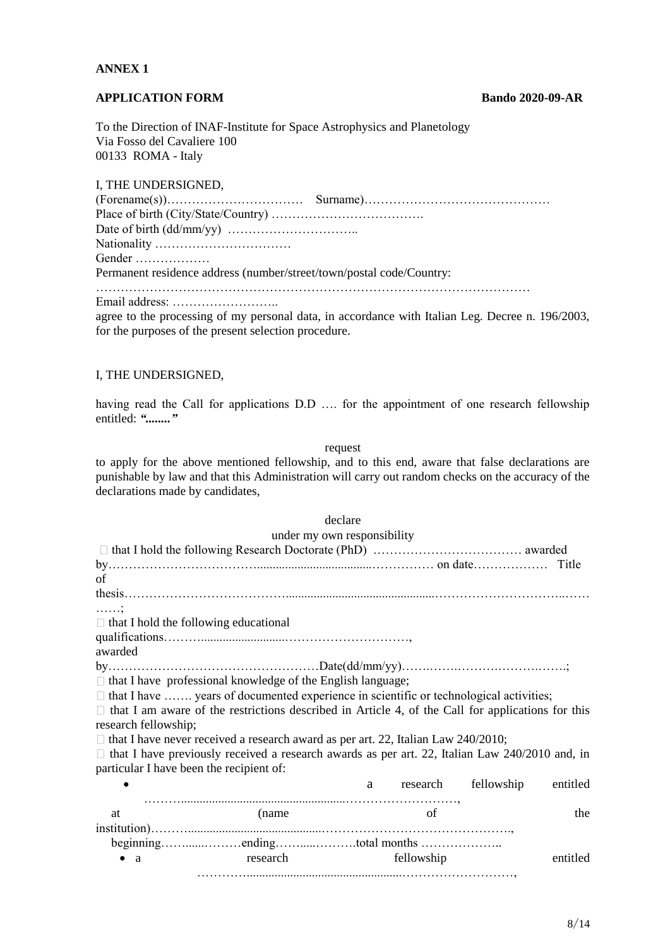## **ANNEX 1**

#### **APPLICATION FORM Bando 2020-09-AR**

To the Direction of INAF-Institute for Space Astrophysics and Planetology Via Fosso del Cavaliere 100 00133 ROMA - Italy

I, THE UNDERSIGNED,

| Gender                                                                                       |  |
|----------------------------------------------------------------------------------------------|--|
| Permanent residence address (number/street/town/postal code/Country:                         |  |
|                                                                                              |  |
|                                                                                              |  |
| $\sim$ . The distribution of the second directly condition with Library $\sim$ Decomposed 10 |  |

agree to the processing of my personal data, in accordance with Italian Leg. Decree n. 196/2003, for the purposes of the present selection procedure.

#### I, THE UNDERSIGNED,

having read the Call for applications D.D …. for the appointment of one research fellowship entitled: *"........"*

request

to apply for the above mentioned fellowship, and to this end, aware that false declarations are punishable by law and that this Administration will carry out random checks on the accuracy of the declarations made by candidates,

|                                          |                                                                                                          | declare |            |            |          |
|------------------------------------------|----------------------------------------------------------------------------------------------------------|---------|------------|------------|----------|
|                                          | under my own responsibility                                                                              |         |            |            |          |
|                                          |                                                                                                          |         |            |            |          |
|                                          |                                                                                                          |         |            |            |          |
| of                                       |                                                                                                          |         |            |            |          |
|                                          |                                                                                                          |         |            |            |          |
| .                                        |                                                                                                          |         |            |            |          |
|                                          | $\Box$ that I hold the following educational                                                             |         |            |            |          |
|                                          |                                                                                                          |         |            |            |          |
| awarded                                  |                                                                                                          |         |            |            |          |
|                                          |                                                                                                          |         |            |            |          |
|                                          | $\Box$ that I have professional knowledge of the English language;                                       |         |            |            |          |
|                                          | □ that I have  years of documented experience in scientific or technological activities;                 |         |            |            |          |
|                                          | $\Box$ that I am aware of the restrictions described in Article 4, of the Call for applications for this |         |            |            |          |
| research fellowship;                     |                                                                                                          |         |            |            |          |
|                                          | $\Box$ that I have never received a research award as per art. 22, Italian Law 240/2010;                 |         |            |            |          |
|                                          | $\Box$ that I have previously received a research awards as per art. 22, Italian Law 240/2010 and, in    |         |            |            |          |
| particular I have been the recipient of: |                                                                                                          |         |            |            |          |
|                                          |                                                                                                          |         | a research | fellowship | entitled |
| at                                       | (name                                                                                                    |         | of         |            | the      |
|                                          |                                                                                                          |         |            |            |          |
|                                          |                                                                                                          |         |            |            |          |
| $\bullet$<br><sub>a</sub>                | research                                                                                                 |         | fellowship |            | entitled |
|                                          |                                                                                                          |         |            |            |          |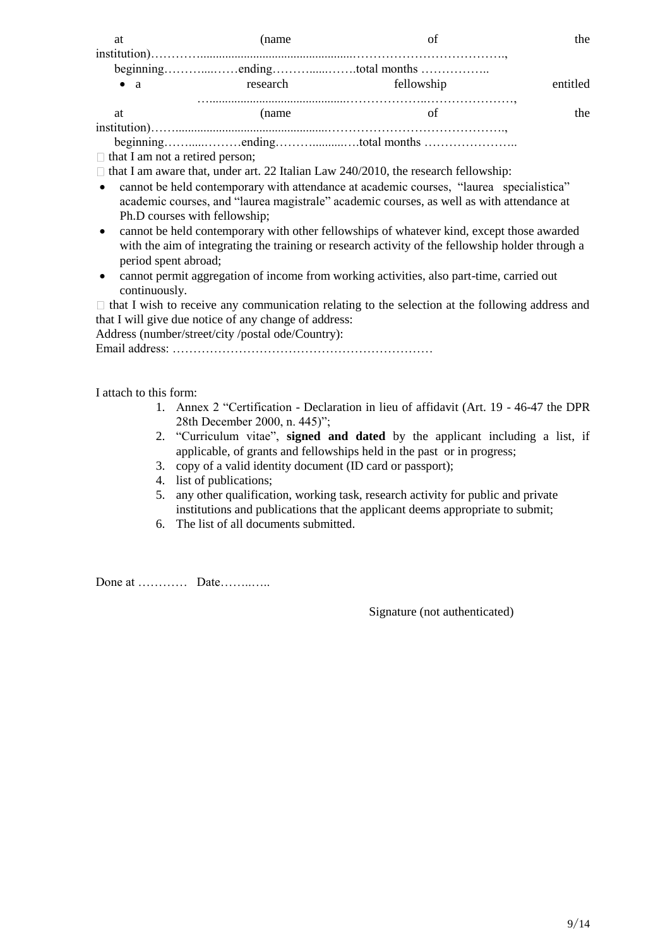| at                                     | (name    |            | the      |  |
|----------------------------------------|----------|------------|----------|--|
|                                        |          |            |          |  |
|                                        |          |            |          |  |
| $\bullet$ a                            | research | fellowship | entitled |  |
| -at                                    | (name    |            | the      |  |
|                                        |          |            |          |  |
|                                        |          |            |          |  |
| $\Box$ that I am not a retired person; |          |            |          |  |

 $\Box$  that I am aware that, under art. 22 Italian Law 240/2010, the research fellowship:

- cannot be held contemporary with attendance at academic courses, "laurea specialistica" academic courses, and "laurea magistrale" academic courses, as well as with attendance at Ph.D courses with fellowship;
- cannot be held contemporary with other fellowships of whatever kind, except those awarded with the aim of integrating the training or research activity of the fellowship holder through a period spent abroad;
- cannot permit aggregation of income from working activities, also part-time, carried out continuously.

 $\Box$  that I wish to receive any communication relating to the selection at the following address and that I will give due notice of any change of address:

Address (number/street/city /postal ode/Country): Email address: ………………………………………………………

I attach to this form:

- 1. Annex 2 "Certification Declaration in lieu of affidavit (Art. 19 46-47 the DPR 28th December 2000, n. 445)";
- 2. "Curriculum vitae", **signed and dated** by the applicant including a list, if applicable, of grants and fellowships held in the past or in progress;
- 3. copy of a valid identity document (ID card or passport);
- 4. list of publications;
- 5. any other qualification, working task, research activity for public and private institutions and publications that the applicant deems appropriate to submit;
- 6. The list of all documents submitted.

Done at ………… Date……..…..

Signature (not authenticated)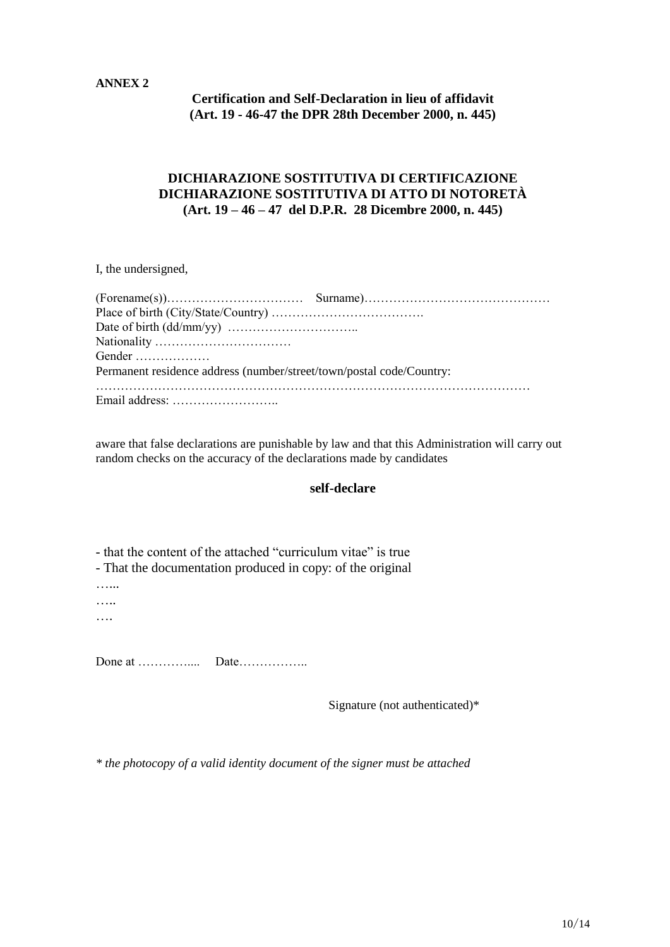### **ANNEX 2**

**Certification and Self-Declaration in lieu of affidavit (Art. 19 - 46-47 the DPR 28th December 2000, n. 445)**

## **DICHIARAZIONE SOSTITUTIVA DI CERTIFICAZIONE DICHIARAZIONE SOSTITUTIVA DI ATTO DI NOTORETÀ (Art. 19 – 46 – 47 del D.P.R. 28 Dicembre 2000, n. 445)**

I, the undersigned,

| Gender                                                               |  |
|----------------------------------------------------------------------|--|
| Permanent residence address (number/street/town/postal code/Country: |  |
|                                                                      |  |
|                                                                      |  |

aware that false declarations are punishable by law and that this Administration will carry out random checks on the accuracy of the declarations made by candidates

#### **self-declare**

- that the content of the attached "curriculum vitae" is true

- That the documentation produced in copy: of the original

…...

….. ….

Done at ………….... Date……………..

Signature (not authenticated)\*

*\* the photocopy of a valid identity document of the signer must be attached*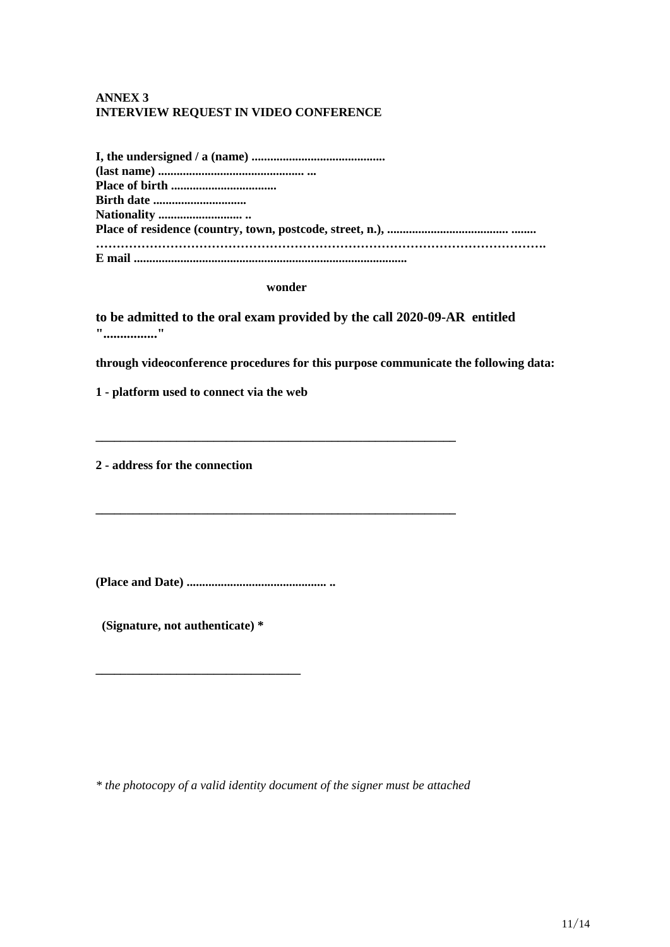## **ANNEX 3 INTERVIEW REQUEST IN VIDEO CONFERENCE**

| <b>Birth date </b> |
|--------------------|
|                    |
|                    |
|                    |
|                    |

#### **wonder**

**\_\_\_\_\_\_\_\_\_\_\_\_\_\_\_\_\_\_\_\_\_\_\_\_\_\_\_\_\_\_\_\_\_\_\_\_\_\_\_\_\_\_\_\_\_\_\_\_\_\_\_\_\_\_\_\_\_\_**

**\_\_\_\_\_\_\_\_\_\_\_\_\_\_\_\_\_\_\_\_\_\_\_\_\_\_\_\_\_\_\_\_\_\_\_\_\_\_\_\_\_\_\_\_\_\_\_\_\_\_\_\_\_\_\_\_\_\_**

**to be admitted to the oral exam provided by the call 2020-09-AR entitled "................"**

**through videoconference procedures for this purpose communicate the following data:**

**1 - platform used to connect via the web** 

**2 - address for the connection**

**(Place and Date) ............................................. ..**

**(Signature, not authenticate) \***

**\_\_\_\_\_\_\_\_\_\_\_\_\_\_\_\_\_\_\_\_\_\_\_\_\_\_\_\_\_\_\_\_\_**

*\* the photocopy of a valid identity document of the signer must be attached*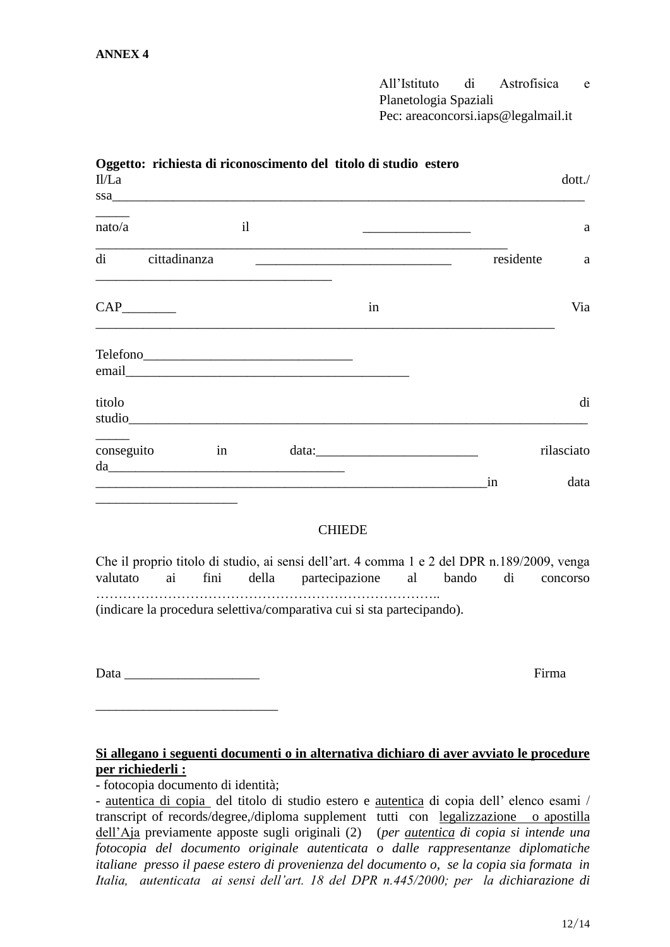All'Istituto di Astrofisica e Planetologia Spaziali Pec: areaconcorsi.iaps@legalmail.it

| II/La    |                 |                                                                                                                     | Oggetto: richiesta di riconoscimento del titolo di studio estero<br>SSa <u>Charles Communications and the communications</u> and the communications of the communications of the communications of the communications of the communications of the communications of the communications of the communic |               |  |           | dot.               |
|----------|-----------------|---------------------------------------------------------------------------------------------------------------------|---------------------------------------------------------------------------------------------------------------------------------------------------------------------------------------------------------------------------------------------------------------------------------------------------------|---------------|--|-----------|--------------------|
| nato/a   |                 | i                                                                                                                   |                                                                                                                                                                                                                                                                                                         |               |  |           | a                  |
|          | di cittadinanza |                                                                                                                     |                                                                                                                                                                                                                                                                                                         |               |  | residente | a                  |
|          |                 |                                                                                                                     |                                                                                                                                                                                                                                                                                                         | in            |  |           | Via                |
|          |                 |                                                                                                                     | email explorer and the set of the set of the set of the set of the set of the set of the set of the set of the                                                                                                                                                                                          |               |  |           |                    |
| titolo   |                 |                                                                                                                     | studio                                                                                                                                                                                                                                                                                                  |               |  |           | di                 |
|          | conseguito      | $\sin \theta$                                                                                                       | $\mathbf{u}$                                                                                                                                                                                                                                                                                            |               |  |           | rilasciato<br>data |
|          |                 |                                                                                                                     |                                                                                                                                                                                                                                                                                                         | <b>CHIEDE</b> |  |           |                    |
| valutato | ai              |                                                                                                                     | Che il proprio titolo di studio, ai sensi dell'art. 4 comma 1 e 2 del DPR n.189/2009, venga<br>fini della partecipazione al bando                                                                                                                                                                       |               |  | di        | concorso           |
|          |                 |                                                                                                                     | (indicare la procedura selettiva/comparativa cui si sta partecipando).                                                                                                                                                                                                                                  |               |  |           |                    |
|          |                 |                                                                                                                     |                                                                                                                                                                                                                                                                                                         |               |  |           | Firma              |
|          |                 | <u> 1989 - Johann Barn, mars ann an t-Amhain an t-Amhain an t-Amhain an t-Amhain an t-Amhain an t-Amhain an t-A</u> | Si allegano i seguenti documenti o in alternativa dichiaro di aver avviato le procedure                                                                                                                                                                                                                 |               |  |           |                    |

## **per richiederli :**

- fotocopia documento di identità;

- autentica di copia del titolo di studio estero e autentica di copia dell' elenco esami / transcript of records/degree,/diploma supplement tutti con legalizzazione o apostilla dell'Aja previamente apposte sugli originali (2) (*per autentica di copia si intende una fotocopia del documento originale autenticata o dalle rappresentanze diplomatiche italiane presso il paese estero di provenienza del documento o, se la copia sia formata in Italia, autenticata ai sensi dell'art. 18 del DPR n.445/2000; per la dichiarazione di*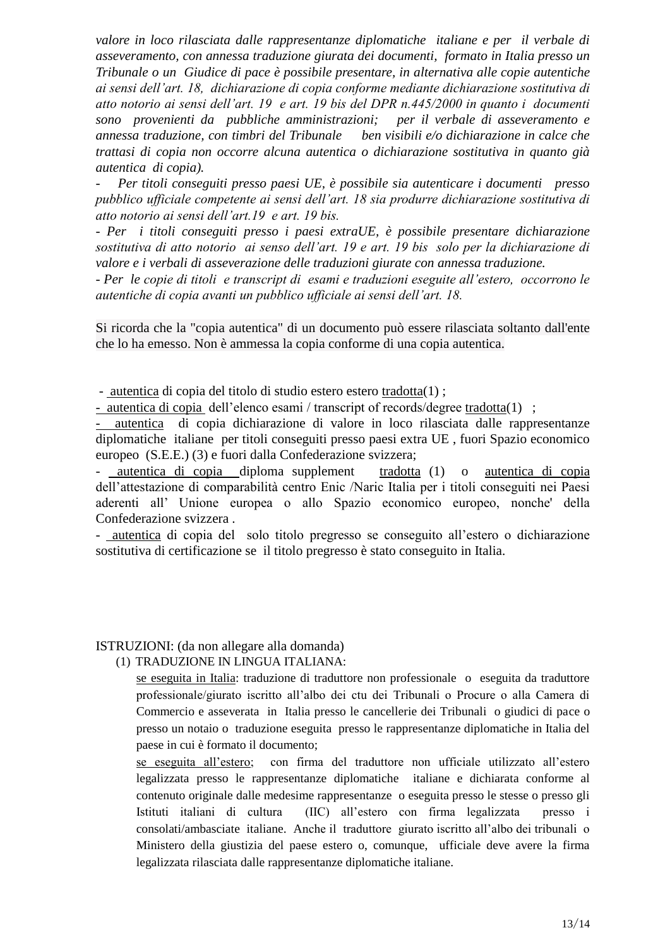*valore in loco rilasciata dalle rappresentanze diplomatiche italiane e per il verbale di asseveramento, con annessa traduzione giurata dei documenti, formato in Italia presso un Tribunale o un Giudice di pace è possibile presentare, in alternativa alle copie autentiche ai sensi dell'art. 18, dichiarazione di copia conforme mediante dichiarazione sostitutiva di atto notorio ai sensi dell'art. 19 e art. 19 bis del DPR n.445/2000 in quanto i documenti sono provenienti da pubbliche amministrazioni; per il verbale di asseveramento e annessa traduzione, con timbri del Tribunale ben visibili e/o dichiarazione in calce che trattasi di copia non occorre alcuna autentica o dichiarazione sostitutiva in quanto già autentica di copia).*

*- Per titoli conseguiti presso paesi UE, è possibile sia autenticare i documenti presso pubblico ufficiale competente ai sensi dell'art. 18 sia produrre dichiarazione sostitutiva di atto notorio ai sensi dell'art.19 e art. 19 bis.*

*- Per i titoli conseguiti presso i paesi extraUE, è possibile presentare dichiarazione sostitutiva di atto notorio ai senso dell'art. 19 e art. 19 bis solo per la dichiarazione di valore e i verbali di asseverazione delle traduzioni giurate con annessa traduzione.* 

*- Per le copie di titoli e transcript di esami e traduzioni eseguite all'estero, occorrono le autentiche di copia avanti un pubblico ufficiale ai sensi dell'art. 18.*

Si ricorda che la "copia autentica" di un documento può essere rilasciata soltanto dall'ente che lo ha emesso. Non è ammessa la copia conforme di una copia autentica.

- autentica di copia del titolo di studio estero estero tradotta(1) ;

- autentica di copia dell'elenco esami / transcript of records/degree tradotta(1) ;

- autentica di copia dichiarazione di valore in loco rilasciata dalle rappresentanze diplomatiche italiane per titoli conseguiti presso paesi extra UE , fuori Spazio economico europeo (S.E.E.) (3) e fuori dalla Confederazione svizzera;

- autentica di copia diploma supplement tradotta (1) o autentica di copia dell'attestazione di comparabilità centro Enic /Naric Italia per i titoli conseguiti nei Paesi aderenti all' Unione europea o allo Spazio economico europeo, nonche' della Confederazione svizzera .

- autentica di copia del solo titolo pregresso se conseguito all'estero o dichiarazione sostitutiva di certificazione se il titolo pregresso è stato conseguito in Italia.

#### ISTRUZIONI: (da non allegare alla domanda)

(1) TRADUZIONE IN LINGUA ITALIANA:

se eseguita in Italia: traduzione di traduttore non professionale o eseguita da traduttore professionale/giurato iscritto all'albo dei ctu dei Tribunali o Procure o alla Camera di Commercio e asseverata in Italia presso le cancellerie dei Tribunali o giudici di pace o presso un notaio o traduzione eseguita presso le rappresentanze diplomatiche in Italia del paese in cui è formato il documento;

se eseguita all'estero; con firma del traduttore non ufficiale utilizzato all'estero legalizzata presso le rappresentanze diplomatiche italiane e dichiarata conforme al contenuto originale dalle medesime rappresentanze o eseguita presso le stesse o presso gli Istituti italiani di cultura (IIC) all'estero con firma legalizzata presso i consolati/ambasciate italiane. Anche il traduttore giurato iscritto all'albo dei tribunali o Ministero della giustizia del paese estero o, comunque, ufficiale deve avere la firma legalizzata rilasciata dalle rappresentanze diplomatiche italiane.